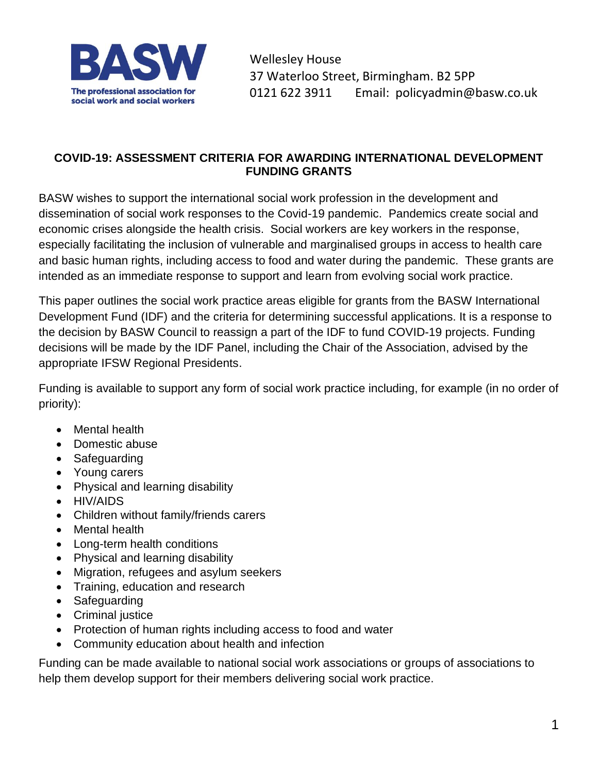

Wellesley House 37 Waterloo Street, Birmingham. B2 5PP 0121 622 3911 Email: policyadmin@basw.co.uk

## **COVID-19: ASSESSMENT CRITERIA FOR AWARDING INTERNATIONAL DEVELOPMENT FUNDING GRANTS**

BASW wishes to support the international social work profession in the development and dissemination of social work responses to the Covid-19 pandemic. Pandemics create social and economic crises alongside the health crisis. Social workers are key workers in the response, especially facilitating the inclusion of vulnerable and marginalised groups in access to health care and basic human rights, including access to food and water during the pandemic. These grants are intended as an immediate response to support and learn from evolving social work practice.

This paper outlines the social work practice areas eligible for grants from the BASW International Development Fund (IDF) and the criteria for determining successful applications. It is a response to the decision by BASW Council to reassign a part of the IDF to fund COVID-19 projects. Funding decisions will be made by the IDF Panel, including the Chair of the Association, advised by the appropriate IFSW Regional Presidents.

Funding is available to support any form of social work practice including, for example (in no order of priority):

- Mental health
- Domestic abuse
- Safeguarding
- Young carers
- Physical and learning disability
- HIV/AIDS
- Children without family/friends carers
- Mental health
- Long-term health conditions
- Physical and learning disability
- Migration, refugees and asylum seekers
- Training, education and research
- Safeguarding
- Criminal justice
- Protection of human rights including access to food and water
- Community education about health and infection

Funding can be made available to national social work associations or groups of associations to help them develop support for their members delivering social work practice.